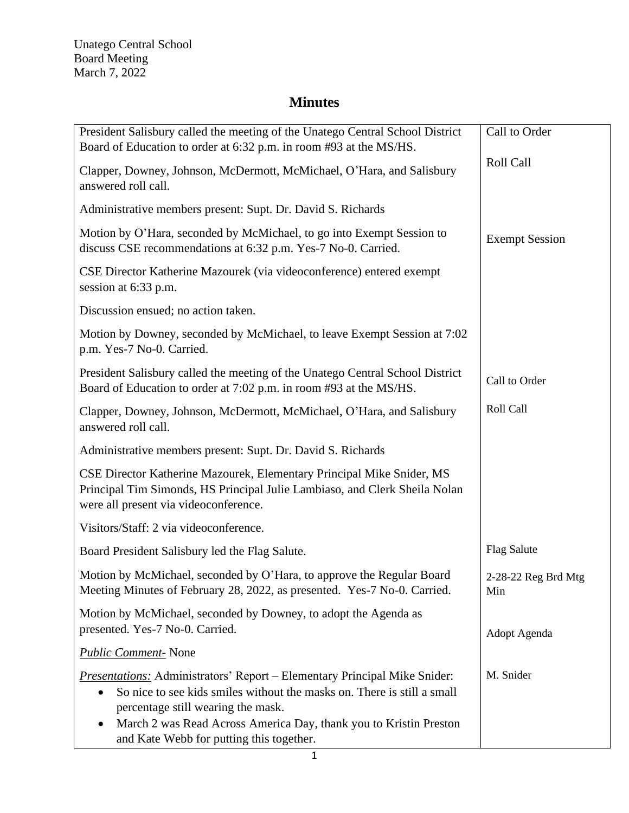$\mathsf{I}$ 

| President Salisbury called the meeting of the Unatego Central School District<br>Board of Education to order at 6:32 p.m. in room #93 at the MS/HS.                                                                                                                                                                     | Call to Order              |
|-------------------------------------------------------------------------------------------------------------------------------------------------------------------------------------------------------------------------------------------------------------------------------------------------------------------------|----------------------------|
| Clapper, Downey, Johnson, McDermott, McMichael, O'Hara, and Salisbury<br>answered roll call.                                                                                                                                                                                                                            | Roll Call                  |
| Administrative members present: Supt. Dr. David S. Richards                                                                                                                                                                                                                                                             |                            |
| Motion by O'Hara, seconded by McMichael, to go into Exempt Session to<br>discuss CSE recommendations at 6:32 p.m. Yes-7 No-0. Carried.                                                                                                                                                                                  | <b>Exempt Session</b>      |
| CSE Director Katherine Mazourek (via videoconference) entered exempt<br>session at 6:33 p.m.                                                                                                                                                                                                                            |                            |
| Discussion ensued; no action taken.                                                                                                                                                                                                                                                                                     |                            |
| Motion by Downey, seconded by McMichael, to leave Exempt Session at 7:02<br>p.m. Yes-7 No-0. Carried.                                                                                                                                                                                                                   |                            |
| President Salisbury called the meeting of the Unatego Central School District<br>Board of Education to order at 7:02 p.m. in room #93 at the MS/HS.                                                                                                                                                                     | Call to Order              |
| Clapper, Downey, Johnson, McDermott, McMichael, O'Hara, and Salisbury<br>answered roll call.                                                                                                                                                                                                                            | Roll Call                  |
| Administrative members present: Supt. Dr. David S. Richards                                                                                                                                                                                                                                                             |                            |
| CSE Director Katherine Mazourek, Elementary Principal Mike Snider, MS<br>Principal Tim Simonds, HS Principal Julie Lambiaso, and Clerk Sheila Nolan<br>were all present via videoconference.                                                                                                                            |                            |
| Visitors/Staff: 2 via videoconference.                                                                                                                                                                                                                                                                                  |                            |
| Board President Salisbury led the Flag Salute.                                                                                                                                                                                                                                                                          | <b>Flag Salute</b>         |
| Motion by McMichael, seconded by O'Hara, to approve the Regular Board<br>Meeting Minutes of February 28, 2022, as presented. Yes-7 No-0. Carried.                                                                                                                                                                       | 2-28-22 Reg Brd Mtg<br>Min |
| Motion by McMichael, seconded by Downey, to adopt the Agenda as<br>presented. Yes-7 No-0. Carried.                                                                                                                                                                                                                      | Adopt Agenda               |
| <b>Public Comment-</b> None                                                                                                                                                                                                                                                                                             |                            |
| <b>Presentations:</b> Administrators' Report – Elementary Principal Mike Snider:<br>So nice to see kids smiles without the masks on. There is still a small<br>٠<br>percentage still wearing the mask.<br>March 2 was Read Across America Day, thank you to Kristin Preston<br>and Kate Webb for putting this together. | M. Snider                  |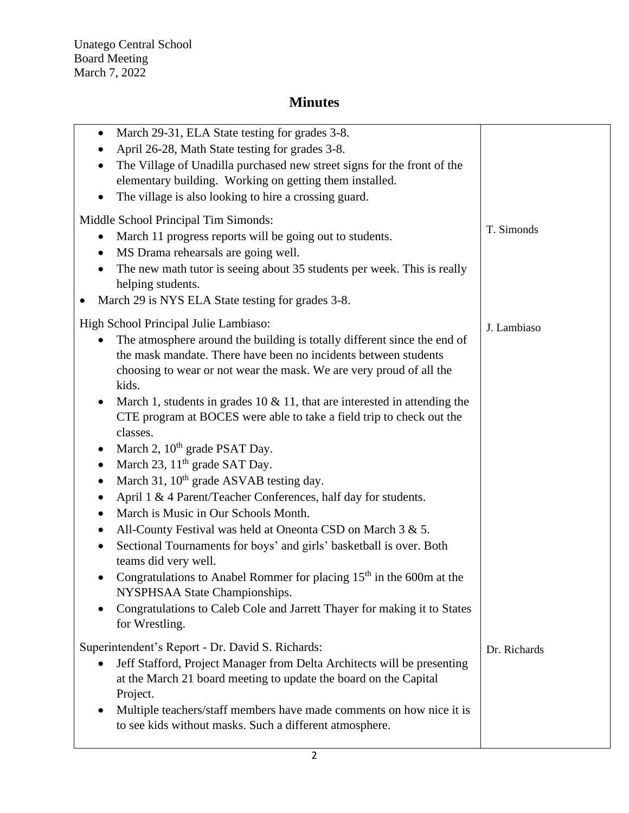| March 29-31, ELA State testing for grades 3-8.<br>$\bullet$<br>April 26-28, Math State testing for grades 3-8.<br>The Village of Unadilla purchased new street signs for the front of the<br>elementary building. Working on getting them installed.<br>The village is also looking to hire a crossing guard.<br>Middle School Principal Tim Simonds:<br>March 11 progress reports will be going out to students.<br>$\bullet$                                                                                                              | T. Simonds   |
|---------------------------------------------------------------------------------------------------------------------------------------------------------------------------------------------------------------------------------------------------------------------------------------------------------------------------------------------------------------------------------------------------------------------------------------------------------------------------------------------------------------------------------------------|--------------|
| MS Drama rehearsals are going well.<br>$\bullet$<br>The new math tutor is seeing about 35 students per week. This is really<br>helping students.<br>March 29 is NYS ELA State testing for grades 3-8.                                                                                                                                                                                                                                                                                                                                       |              |
| High School Principal Julie Lambiaso:<br>The atmosphere around the building is totally different since the end of<br>the mask mandate. There have been no incidents between students<br>choosing to wear or not wear the mask. We are very proud of all the<br>kids.<br>March 1, students in grades 10 $\&$ 11, that are interested in attending the<br>$\bullet$<br>CTE program at BOCES were able to take a field trip to check out the<br>classes.                                                                                       | J. Lambiaso  |
| March 2, 10 <sup>th</sup> grade PSAT Day.<br>$\bullet$<br>March 23, 11 <sup>th</sup> grade SAT Day.<br>$\bullet$<br>March 31, 10 <sup>th</sup> grade ASVAB testing day.<br>April 1 & 4 Parent/Teacher Conferences, half day for students.<br>March is Music in Our Schools Month.<br>$\bullet$<br>All-County Festival was held at Oneonta CSD on March 3 & 5.<br>٠<br>Sectional Tournaments for boys' and girls' basketball is over. Both<br>teams did very well.<br>Congratulations to Anabel Rommer for placing $15th$ in the 600m at the |              |
| NYSPHSAA State Championships.<br>Congratulations to Caleb Cole and Jarrett Thayer for making it to States<br>for Wrestling.                                                                                                                                                                                                                                                                                                                                                                                                                 |              |
| Superintendent's Report - Dr. David S. Richards:<br>Jeff Stafford, Project Manager from Delta Architects will be presenting<br>$\bullet$<br>at the March 21 board meeting to update the board on the Capital<br>Project.                                                                                                                                                                                                                                                                                                                    | Dr. Richards |
| Multiple teachers/staff members have made comments on how nice it is<br>to see kids without masks. Such a different atmosphere.                                                                                                                                                                                                                                                                                                                                                                                                             |              |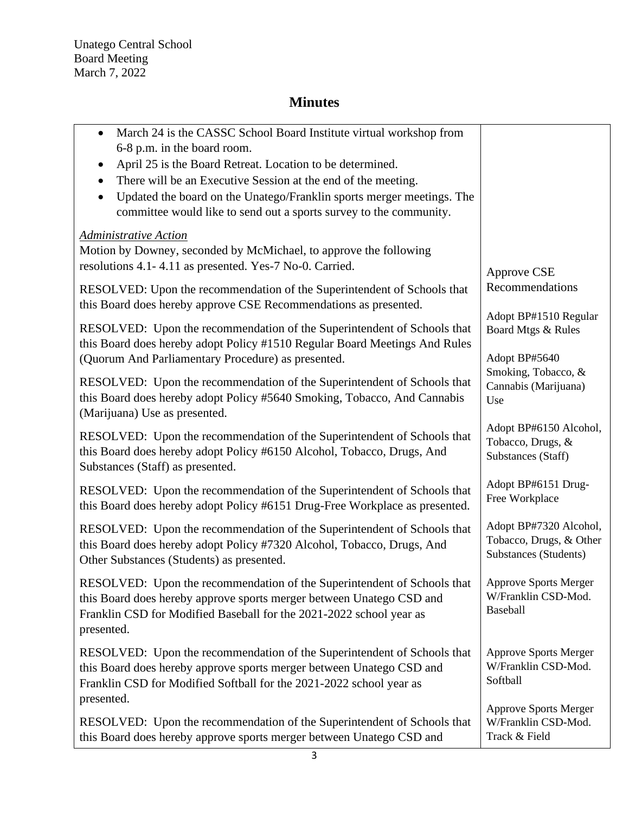Unatego Central School Board Meeting March 7, 2022

| March 24 is the CASSC School Board Institute virtual workshop from<br>6-8 p.m. in the board room.<br>April 25 is the Board Retreat. Location to be determined.<br>There will be an Executive Session at the end of the meeting.<br>Updated the board on the Unatego/Franklin sports merger meetings. The<br>$\bullet$<br>committee would like to send out a sports survey to the community. |                                                                            |
|---------------------------------------------------------------------------------------------------------------------------------------------------------------------------------------------------------------------------------------------------------------------------------------------------------------------------------------------------------------------------------------------|----------------------------------------------------------------------------|
| <b>Administrative Action</b><br>Motion by Downey, seconded by McMichael, to approve the following<br>resolutions 4.1-4.11 as presented. Yes-7 No-0. Carried.                                                                                                                                                                                                                                | Approve CSE                                                                |
| RESOLVED: Upon the recommendation of the Superintendent of Schools that<br>this Board does hereby approve CSE Recommendations as presented.                                                                                                                                                                                                                                                 | Recommendations                                                            |
| RESOLVED: Upon the recommendation of the Superintendent of Schools that<br>this Board does hereby adopt Policy #1510 Regular Board Meetings And Rules<br>(Quorum And Parliamentary Procedure) as presented.                                                                                                                                                                                 | Adopt BP#1510 Regular<br>Board Mtgs & Rules<br>Adopt BP#5640               |
| RESOLVED: Upon the recommendation of the Superintendent of Schools that<br>this Board does hereby adopt Policy #5640 Smoking, Tobacco, And Cannabis<br>(Marijuana) Use as presented.                                                                                                                                                                                                        | Smoking, Tobacco, &<br>Cannabis (Marijuana)<br>Use                         |
| RESOLVED: Upon the recommendation of the Superintendent of Schools that<br>this Board does hereby adopt Policy #6150 Alcohol, Tobacco, Drugs, And<br>Substances (Staff) as presented.                                                                                                                                                                                                       | Adopt BP#6150 Alcohol,<br>Tobacco, Drugs, &<br>Substances (Staff)          |
| RESOLVED: Upon the recommendation of the Superintendent of Schools that<br>this Board does hereby adopt Policy #6151 Drug-Free Workplace as presented.                                                                                                                                                                                                                                      | Adopt BP#6151 Drug-<br>Free Workplace                                      |
| RESOLVED: Upon the recommendation of the Superintendent of Schools that<br>this Board does hereby adopt Policy #7320 Alcohol, Tobacco, Drugs, And<br>Other Substances (Students) as presented.                                                                                                                                                                                              | Adopt BP#7320 Alcohol,<br>Tobacco, Drugs, & Other<br>Substances (Students) |
| RESOLVED: Upon the recommendation of the Superintendent of Schools that<br>this Board does hereby approve sports merger between Unatego CSD and<br>Franklin CSD for Modified Baseball for the 2021-2022 school year as<br>presented.                                                                                                                                                        | <b>Approve Sports Merger</b><br>W/Franklin CSD-Mod.<br>Baseball            |
| RESOLVED: Upon the recommendation of the Superintendent of Schools that<br>this Board does hereby approve sports merger between Unatego CSD and<br>Franklin CSD for Modified Softball for the 2021-2022 school year as<br>presented.                                                                                                                                                        | <b>Approve Sports Merger</b><br>W/Franklin CSD-Mod.<br>Softball            |
| RESOLVED: Upon the recommendation of the Superintendent of Schools that<br>this Board does hereby approve sports merger between Unatego CSD and                                                                                                                                                                                                                                             | <b>Approve Sports Merger</b><br>W/Franklin CSD-Mod.<br>Track & Field       |